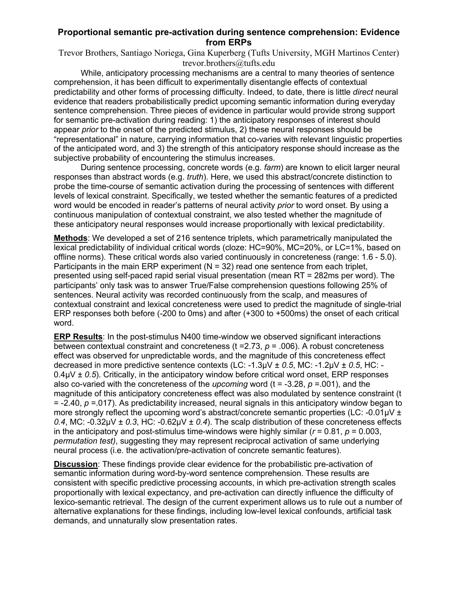## **Proportional semantic pre-activation during sentence comprehension: Evidence from ERPs**

Trevor Brothers, Santiago Noriega, Gina Kuperberg (Tufts University, MGH Martinos Center) trevor.brothers@tufts.edu

While, anticipatory processing mechanisms are a central to many theories of sentence comprehension, it has been difficult to experimentally disentangle effects of contextual predictability and other forms of processing difficulty. Indeed, to date, there is little *direct* neural evidence that readers probabilistically predict upcoming semantic information during everyday sentence comprehension. Three pieces of evidence in particular would provide strong support for semantic pre-activation during reading: 1) the anticipatory responses of interest should appear *prior* to the onset of the predicted stimulus, 2) these neural responses should be "representational" in nature, carrying information that co-varies with relevant linguistic properties of the anticipated word, and 3) the strength of this anticipatory response should increase as the subjective probability of encountering the stimulus increases.

During sentence processing, concrete words (e.g. *farm*) are known to elicit larger neural responses than abstract words (e.g. *truth*). Here, we used this abstract/concrete distinction to probe the time-course of semantic activation during the processing of sentences with different levels of lexical constraint. Specifically, we tested whether the semantic features of a predicted word would be encoded in reader's patterns of neural activity *prior* to word onset. By using a continuous manipulation of contextual constraint, we also tested whether the magnitude of these anticipatory neural responses would increase proportionally with lexical predictability.

**Methods**: We developed a set of 216 sentence triplets, which parametrically manipulated the lexical predictability of individual critical words (cloze: HC=90%, MC=20%, or LC=1%, based on offline norms). These critical words also varied continuously in concreteness (range: 1.6 - 5.0). Participants in the main ERP experiment ( $N = 32$ ) read one sentence from each triplet, presented using self-paced rapid serial visual presentation (mean RT = 282ms per word). The participants' only task was to answer True/False comprehension questions following 25% of sentences. Neural activity was recorded continuously from the scalp, and measures of contextual constraint and lexical concreteness were used to predict the magnitude of single-trial ERP responses both before (-200 to 0ms) and after (+300 to +500ms) the onset of each critical word.

**ERP Results**: In the post-stimulus N400 time-window we observed significant interactions between contextual constraint and concreteness (t =2.73, *p* = .006). A robust concreteness effect was observed for unpredictable words, and the magnitude of this concreteness effect decreased in more predictive sentence contexts (LC: -1.3µV ± *0.5*, MC: -1.2µV ± *0.5*, HC: - 0.4µV ± *0.5*). Critically, in the anticipatory window before critical word onset, ERP responses also co-varied with the concreteness of the *upcoming* word ( $t = -3.28$ ,  $p = .001$ ), and the magnitude of this anticipatory concreteness effect was also modulated by sentence constraint (t = -2.40, *p* =.017). As predictability increased, neural signals in this anticipatory window began to more strongly reflect the upcoming word's abstract/concrete semantic properties (LC: -0.01uV ± *0.4*, MC: -0.32µV ± *0.3*, HC: -0.62µV ± *0.4*). The scalp distribution of these concreteness effects in the anticipatory and post-stimulus time-windows were highly similar ( $r = 0.81$ ,  $p = 0.003$ , *permutation test)*, suggesting they may represent reciprocal activation of same underlying neural process (i.e. the activation/pre-activation of concrete semantic features).

**Discussion**: These findings provide clear evidence for the probabilistic pre-activation of semantic information during word-by-word sentence comprehension. These results are consistent with specific predictive processing accounts, in which pre-activation strength scales proportionally with lexical expectancy, and pre-activation can directly influence the difficulty of lexico-semantic retrieval. The design of the current experiment allows us to rule out a number of alternative explanations for these findings, including low-level lexical confounds, artificial task demands, and unnaturally slow presentation rates.